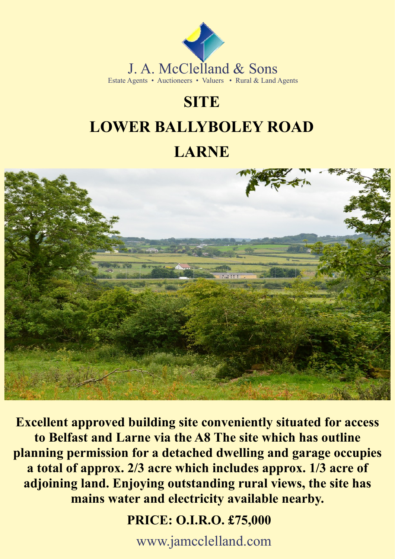

# **SITE**

# **LOWER BALLYBOLEY ROAD**

## **LARNE**



**Excellent approved building site conveniently situated for access to Belfast and Larne via the A8 The site which has outline planning permission for a detached dwelling and garage occupies a total of approx. 2/3 acre which includes approx. 1/3 acre of adjoining land. Enjoying outstanding rural views, the site has mains water and electricity available nearby.**

 **PRICE: O.I.R.O. £75,000**

www.jamcclelland.com